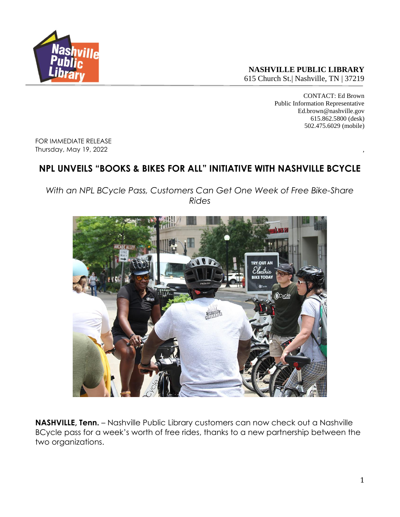

**NASHVILLE PUBLIC LIBRARY**

615 Church St.| Nashville, TN | 37219

CONTACT: Ed Brown Public Information Representative Ed.brown@nashville.gov 615.862.5800 (desk) 502.475.6029 (mobile)

FOR IMMEDIATE RELEASE Thursday, May 19, 2022 ,

## **NPL UNVEILS "BOOKS & BIKES FOR ALL" INITIATIVE WITH NASHVILLE BCYCLE**

*With an NPL BCycle Pass, Customers Can Get One Week of Free Bike-Share Rides*



**NASHVILLE, Tenn.** – Nashville Public Library customers can now check out a Nashville BCycle pass for a week's worth of free rides, thanks to a new partnership between the two organizations.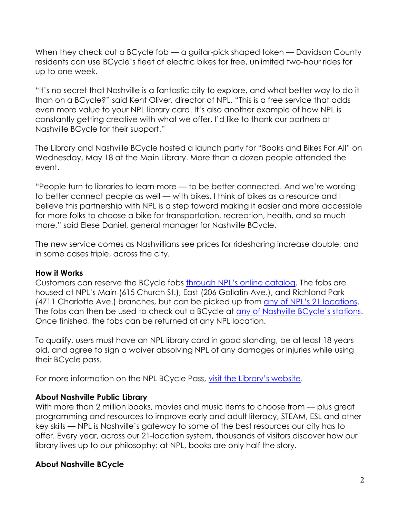When they check out a BCycle fob — a guitar-pick shaped token — Davidson County residents can use BCycle's fleet of electric bikes for free, unlimited two-hour rides for up to one week.

"It's no secret that Nashville is a fantastic city to explore, and what better way to do it than on a BCycle?" said Kent Oliver, director of NPL. "This is a free service that adds even more value to your NPL library card. It's also another example of how NPL is constantly getting creative with what we offer. I'd like to thank our partners at Nashville BCycle for their support."

The Library and Nashville BCycle hosted a launch party for "Books and Bikes For All" on Wednesday, May 18 at the Main Library. More than a dozen people attended the event.

"People turn to libraries to learn more — to be better connected. And we're working to better connect people as well — with bikes. I think of bikes as a resource and I believe this partnership with NPL is a step toward making it easier and more accessible for more folks to choose a bike for transportation, recreation, health, and so much more," said Elese Daniel, general manager for Nashville BCycle.

The new service comes as Nashvillians see prices for ridesharing increase double, and in some cases triple, across the city.

## **How it Works**

Customers can reserve the BCycle fobs [through NPL's online catalog](https://catalog.library.nashville.org/). The fobs are housed at NPL's Main (615 Church St.), East (206 Gallatin Ave.), and Richland Park (4711 Charlotte Ave.) branches, but can be picked up from [any of NPL's 21 locations](https://library.nashville.org/locations). The fobs can then be used to check out a BCycle at [any of Nashville BCycle's](https://nashville.bcycle.com/nav/map) stations. Once finished, the fobs can be returned at any NPL location.

To qualify, users must have an NPL library card in good standing, be at least 18 years old, and agree to sign a waiver absolving NPL of any damages or injuries while using their BCycle pass.

For more information on the NPL BCycle Pass, [visit the Library's website](https://library.nashville.org/services/bcycle-passes).

## **About Nashville Public Library**

With more than 2 million books, movies and music items to choose from — plus great programming and resources to improve early and adult literacy, STEAM, ESL and other key skills — NPL is Nashville's gateway to some of the best resources our city has to offer. Every year, across our 21-location system, thousands of visitors discover how our library lives up to our philosophy: at NPL, books are only half the story.

## **About Nashville BCycle**